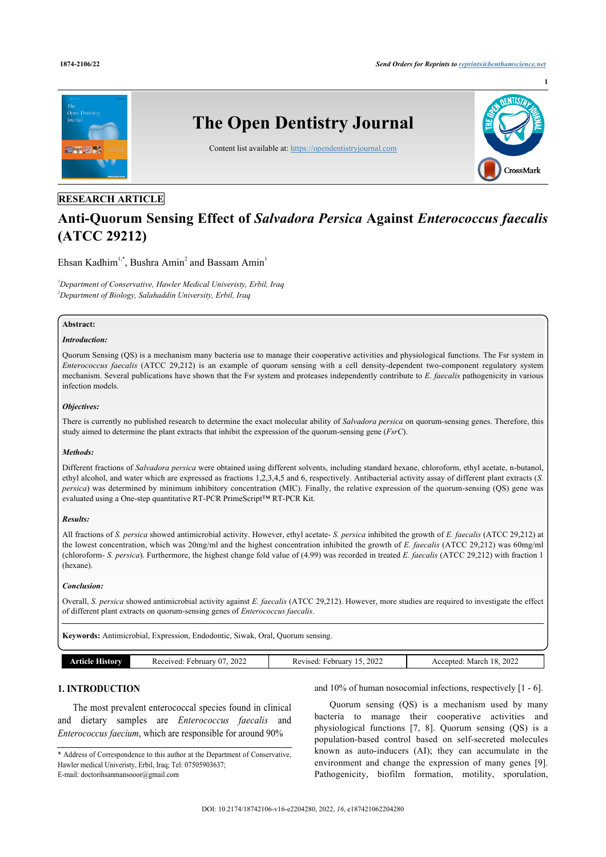

# **RESEARCH ARTICLE**

# **Anti-Quorum Sensing Effect of** *Salvadora Persica* **Against** *Enterococcus faecalis* **(ATCC 29212)**

Ehsan Kadhim<sup>[1,](#page-0-0)[\\*](#page-0-1)</sup>, Bushra Amin<sup>[2](#page-0-2)</sup> and Bassam Amin<sup>[1](#page-0-0)</sup>

<span id="page-0-2"></span><span id="page-0-0"></span>*<sup>1</sup>Department of Conservative, Hawler Medical Univeristy, Erbil, Iraq <sup>2</sup>Department of Biology, Salahaddin University, Erbil, Iraq*

## **Abstract:**

## *Introduction:*

Quorum Sensing (QS) is a mechanism many bacteria use to manage their cooperative activities and physiological functions. The Fsr system in *Enterococcus faecalis* (ATCC 29,212) is an example of quorum sensing with a cell density-dependent two-component regulatory system mechanism. Several publications have shown that the Fsr system and proteases independently contribute to *E. faecalis* pathogenicity in various infection models.

### *Objectives:*

There is currently no published research to determine the exact molecular ability of *Salvadora persica* on quorum-sensing genes. Therefore, this study aimed to determine the plant extracts that inhibit the expression of the quorum-sensing gene (*FsrC*).

## *Methods:*

Different fractions of *Salvadora persica* were obtained using different solvents, including standard hexane, chloroform, ethyl acetate, n-butanol, ethyl alcohol, and water which are expressed as fractions 1,2,3,4,5 and 6, respectively. Antibacterial activity assay of different plant extracts (*S. persica*) was determined by minimum inhibitory concentration (MIC). Finally, the relative expression of the quorum-sensing (QS) gene was evaluated using a One-step quantitative RT-PCR PrimeScript™ RT-PCR Kit.

## *Results:*

All fractions of *S. persica* showed antimicrobial activity. However, ethyl acetate- *S. persica* inhibited the growth of *E. faecalis* (ATCC 29,212) at the lowest concentration, which was 20mg/ml and the highest concentration inhibited the growth of *E. faecalis* (ATCC 29,212) was 60mg/ml (chloroform- *S. persica*). Furthermore, the highest change fold value of (4.99) was recorded in treated *E. faecalis* (ATCC 29,212) with fraction 1 (hexane).

## *Conclusion:*

Overall, *S. persica* showed antimicrobial activity against *E. faecalis* (ATCC 29,212). However, more studies are required to investigate the effect of different plant extracts on quorum-sensing genes of *Enterococcus faecalis*.

**Keywords:** Antimicrobial, Expression, Endodontic, Siwak, Oral, Quorum sensing.

| ow | 202<br>Februar<br>кe<br>2022<br>"UU | 2022<br>February<br>Revised<br>___ | 2022<br>$\cdot$<br>March<br>Acc<br>entr…<br>$\sim$ |
|----|-------------------------------------|------------------------------------|----------------------------------------------------|

# **1. INTRODUCTION**

The most prevalent enterococcal species found in clinical and dietary samples are *Enterococcus faecalis* and *Enterococcus faecium*, which are responsible for around 90%

and 10% of human nosocomial infections, respectively [[1](#page-5-0) - [6](#page-5-1)].

Quorum sensing (QS) is a mechanism used by many bacteria to manage their cooperative activities and physiological functions[[7,](#page-5-2) [8](#page-5-3)]. Quorum sensing (QS) is a population-based control based on self-secreted molecules known as auto-inducers (AI); they can accumulate in the environment and change the expression of many genes[[9](#page-5-4)]. Pathogenicity, biofilm formation, motility, sporulation,

<span id="page-0-1"></span><sup>\*</sup> Address of Correspondence to this author at the Department of Conservative, Hawler medical Univeristy, Erbil, Iraq; Tel: 07505903637; E-mail: [doctorihsanmansooor@gmail.com](mailto:doctorihsanmansooor@gmail.com)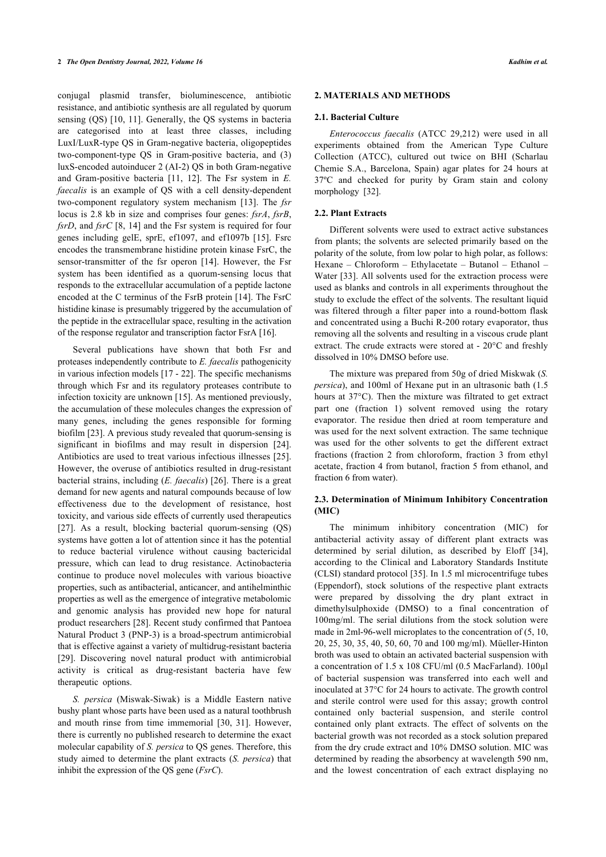conjugal plasmid transfer, bioluminescence, antibiotic resistance, and antibiotic synthesis are all regulated by quorum sensing (QS) [\[10,](#page-5-5) [11](#page-5-6)]. Generally, the QS systems in bacteria are categorised into at least three classes, including LuxI/LuxR-type QS in Gram-negative bacteria, oligopeptides two-component-type QS in Gram-positive bacteria, and (3) luxS-encoded autoinducer 2 (AI-2) QS in both Gram-negative and Gram-positive bacteria [\[11](#page-5-6), [12](#page-5-7)]. The Fsr system in *E. faecalis* is an example of QS with a cell density-dependent two-component regulatory system mechanism [\[13\]](#page-5-8). The *fsr* locus is 2.8 kb in size and comprises four genes: *fsrA*, *fsrB*, *fsrD*, and *fsrC* [\[8,](#page-5-3) [14](#page-5-9)] and the Fsr system is required for four genes including gelE, sprE, ef1097, and ef1097b[[15](#page-5-10)]. Fsrc encodes the transmembrane histidine protein kinase FsrC, the sensor-transmitter of the fsr operon[[14\]](#page-5-9). However, the Fsr system has been identified as a quorum-sensing locus that responds to the extracellular accumulation of a peptide lactone encoded at the C terminus of the FsrB protein [\[14](#page-5-9)]. The FsrC histidine kinase is presumably triggered by the accumulation of the peptide in the extracellular space, resulting in the activation of the response regulator and transcription factor FsrA [[16\]](#page-5-11).

Several publications have shown that both Fsr and proteases independently contribute to *E. faecalis* pathogenicity in various infection models [\[17](#page-5-12) - [22\]](#page-5-13). The specific mechanisms through which Fsr and its regulatory proteases contribute to infection toxicity are unknown [\[15](#page-5-10)]. As mentioned previously, the accumulation of these molecules changes the expression of many genes, including the genes responsible for forming biofilm [[23\]](#page-5-14). A previous study revealed that quorum-sensing is significant in biofilms and may result in dispersion[[24\]](#page-5-15). Antibiotics are used to treat various infectious illnesses [[25\]](#page-5-16). However, the overuse of antibiotics resulted in drug-resistant bacterial strains, including (*E. faecalis*) [\[26](#page-5-17)]. There is a great demand for new agents and natural compounds because of low effectiveness due to the development of resistance, host toxicity, and various side effects of currently used therapeutics [[27\]](#page-5-18). As a result, blocking bacterial quorum-sensing (QS) systems have gotten a lot of attention since it has the potential to reduce bacterial virulence without causing bactericidal pressure, which can lead to drug resistance. Actinobacteria continue to produce novel molecules with various bioactive properties, such as antibacterial, anticancer, and antihelminthic properties as well as the emergence of integrative metabolomic and genomic analysis has provided new hope for natural product researchers [[28\]](#page-5-19). Recent study confirmed that Pantoea Natural Product 3 (PNP-3) is a broad-spectrum antimicrobial that is effective against a variety of multidrug-resistant bacteria [[29\]](#page-5-20). Discovering novel natural product with antimicrobial activity is critical as drug-resistant bacteria have few therapeutic options.

*S. persica* (Miswak-Siwak) is a Middle Eastern native bushy plant whose parts have been used as a natural toothbrush and mouth rinse from time immemorial[[30,](#page-5-21) [31](#page-5-22)]. However, there is currently no published research to determine the exact molecular capability of *S. persica* to QS genes. Therefore, this study aimed to determine the plant extracts (*S. persica*) that inhibit the expression of the QS gene (*FsrC*).

### **2. MATERIALS AND METHODS**

#### **2.1. Bacterial Culture**

*Enterococcus faecalis* (ATCC 29,212) were used in all experiments obtained from the American Type Culture Collection (ATCC), cultured out twice on BHI (Scharlau Chemie S.A., Barcelona, Spain) agar plates for 24 hours at 37ºC and checked for purity by Gram stain and colony morphology [\[32](#page-5-23)].

#### **2.2. Plant Extracts**

Different solvents were used to extract active substances from plants; the solvents are selected primarily based on the polarity of the solute, from low polar to high polar, as follows: Hexane – Chloroform – Ethylacetate – Butanol – Ethanol – Water [\[33\]](#page-5-24). All solvents used for the extraction process were used as blanks and controls in all experiments throughout the study to exclude the effect of the solvents. The resultant liquid was filtered through a filter paper into a round-bottom flask and concentrated using a Buchi R-200 rotary evaporator, thus removing all the solvents and resulting in a viscous crude plant extract. The crude extracts were stored at - 20°C and freshly dissolved in 10% DMSO before use.

The mixture was prepared from 50g of dried Miskwak (*S. persica*), and 100ml of Hexane put in an ultrasonic bath (1.5 hours at 37°C). Then the mixture was filtrated to get extract part one (fraction 1) solvent removed using the rotary evaporator. The residue then dried at room temperature and was used for the next solvent extraction. The same technique was used for the other solvents to get the different extract fractions (fraction 2 from chloroform, fraction 3 from ethyl acetate, fraction 4 from butanol, fraction 5 from ethanol, and fraction 6 from water).

# **2.3. Determination of Minimum Inhibitory Concentration (MIC)**

The minimum inhibitory concentration (MIC) for antibacterial activity assay of different plant extracts was determined by serial dilution, as described by Eloff[[34](#page-5-25)], according to the Clinical and Laboratory Standards Institute (CLSI) standard protocol [\[35](#page-5-26)]. In 1.5 ml microcentrifuge tubes (Eppendorf), stock solutions of the respective plant extracts were prepared by dissolving the dry plant extract in dimethylsulphoxide (DMSO) to a final concentration of 100mg/ml. The serial dilutions from the stock solution were made in 2ml-96-well microplates to the concentration of (5, 10, 20, 25, 30, 35, 40, 50, 60, 70 and 100 mg/ml). Müeller-Hinton broth was used to obtain an activated bacterial suspension with a concentration of 1.5 x 108 CFU/ml (0.5 MacFarland). 100µl of bacterial suspension was transferred into each well and inoculated at 37°C for 24 hours to activate. The growth control and sterile control were used for this assay; growth control contained only bacterial suspension, and sterile control contained only plant extracts. The effect of solvents on the bacterial growth was not recorded as a stock solution prepared from the dry crude extract and 10% DMSO solution. MIC was determined by reading the absorbency at wavelength 590 nm, and the lowest concentration of each extract displaying no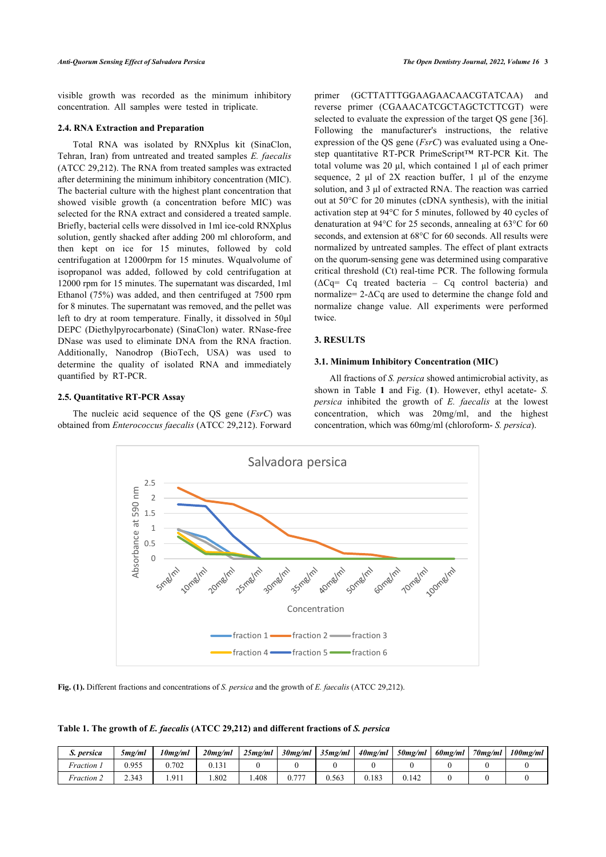visible growth was recorded as the minimum inhibitory concentration. All samples were tested in triplicate.

#### **2.4. RNA Extraction and Preparation**

Total RNA was isolated by RNXplus kit (SinaClon, Tehran, Iran) from untreated and treated samples *E. faecalis* (ATCC 29,212). The RNA from treated samples was extracted after determining the minimum inhibitory concentration (MIC). The bacterial culture with the highest plant concentration that showed visible growth (a concentration before MIC) was selected for the RNA extract and considered a treated sample. Briefly, bacterial cells were dissolved in 1ml ice-cold RNXplus solution, gently shacked after adding 200 ml chloroform, and then kept on ice for 15 minutes, followed by cold centrifugation at 12000rpm for 15 minutes. Wqualvolume of isopropanol was added, followed by cold centrifugation at 12000 rpm for 15 minutes. The supernatant was discarded, 1ml Ethanol (75%) was added, and then centrifuged at 7500 rpm for 8 minutes. The supernatant was removed, and the pellet was left to dry at room temperature. Finally, it dissolved in 50μl DEPC (Diethylpyrocarbonate) (SinaClon) water. RNase-free DNase was used to eliminate DNA from the RNA fraction. Additionally, Nanodrop (BioTech, USA) was used to determine the quality of isolated RNA and immediately quantified by RT-PCR.

## **2.5. Quantitative RT-PCR Assay**

<span id="page-2-1"></span>The nucleic acid sequence of the QS gene (*FsrC*) was obtained from *Enterococcus faecalis* (ATCC 29,212). Forward primer (GCTTATTTGGAAGAACAACGTATCAA) and reverse primer (CGAAACATCGCTAGCTCTTCGT) were selected to evaluate the expression of the target QS gene [[36](#page-5-27)]. Following the manufacturer's instructions, the relative expression of the QS gene (*FsrC*) was evaluated using a Onestep quantitative RT-PCR PrimeScript™ RT-PCR Kit. The total volume was 20 μl, which contained 1 μl of each primer sequence, 2 μl of 2X reaction buffer, 1 μl of the enzyme solution, and 3 μl of extracted RNA. The reaction was carried out at 50°C for 20 minutes (cDNA synthesis), with the initial activation step at 94°C for 5 minutes, followed by 40 cycles of denaturation at 94°C for 25 seconds, annealing at 63°C for 60 seconds, and extension at 68°C for 60 seconds. All results were normalized by untreated samples. The effect of plant extracts on the quorum-sensing gene was determined using comparative critical threshold (Ct) real-time PCR. The following formula  $(\Delta C)$  Cq treated bacteria – Cq control bacteria) and normalize= 2-ΔCq are used to determine the change fold and normalize change value. All experiments were performed twice.

# **3. RESULTS**

## **3.1. Minimum Inhibitory Concentration (MIC)**

All fractions of *S. persica* showed antimicrobial activity, as shown in Table**1** and Fig. (**[1](#page-2-1)**). However, ethyl acetate- *S. persica* inhibited the growth of *E. faecalis* at the lowest concentration, which was 20mg/ml, and the highest concentration, which was 60mg/ml (chloroform- *S. persica*).



**Fig. (1).** Different fractions and concentrations of *S. persica* and the growth of *E. faecalis* (ATCC 29,212).

<span id="page-2-0"></span>**Table 1. The growth of** *E. faecalis* **(ATCC 29,212) and different fractions of** *S. persica*

| persica                             | 5mg/ml | 10mg/ml | $20$ mg/ml | 25mg/ml | $30$ mg/ml | 35mg/ml | $40$ mg/ml | $50$ mg/ml | 60mg/ml | $70$ mg/ml | $100$ mg/ml |
|-------------------------------------|--------|---------|------------|---------|------------|---------|------------|------------|---------|------------|-------------|
| <i>Fraction</i>                     | 0.955  | 0.702   | U. I 5 I   |         |            |         |            |            |         |            |             |
| <i>Fraction <math>\angle</math></i> | 2.343  | 1.911   | .802       | .408    | 777        | 0.563   | 0.183      | 0.142      |         |            |             |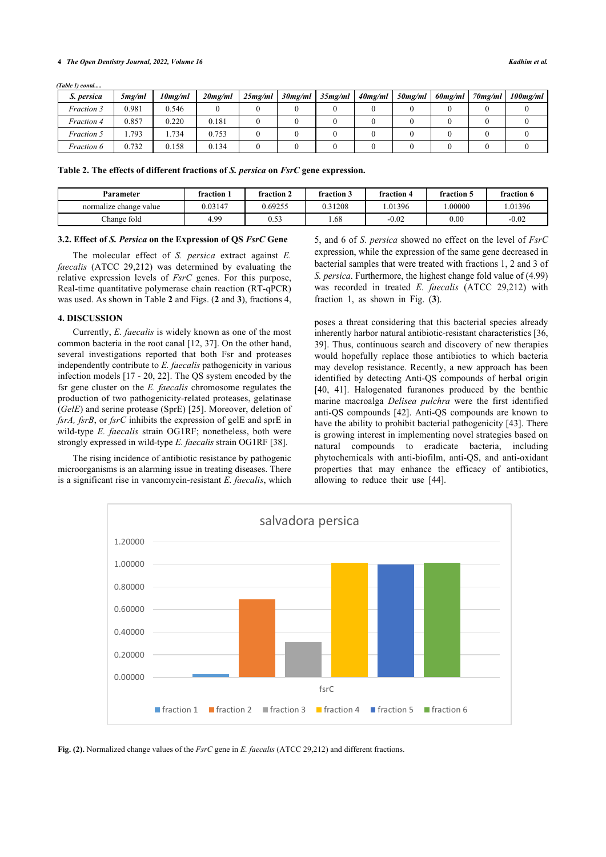#### **4** *The Open Dentistry Journal, 2022, Volume 16 Kadhim et al.*

*(Table 1) contd.....*

| S. persica        | 5mg/ml | 10mg/ml | $20$ mg/ml | 25mg/ml | $30$ mg/ml | 35mg/ml | $40$ mg/ml | 50mg/ml | 60mg/ml | $70$ mg/ml | $100$ mg/ml |
|-------------------|--------|---------|------------|---------|------------|---------|------------|---------|---------|------------|-------------|
| Fraction 3        | 0.981  | 0.546   |            |         |            |         |            |         |         |            |             |
| <i>Fraction 4</i> | 0.857  | 0.220   | 0.181      |         |            |         |            |         |         |            |             |
| Fraction 5        | .793   | 1.734   | 0.753      |         |            |         |            |         |         |            |             |
| <i>Fraction 6</i> | 0.732  | 0.158   | 0.134      |         |            |         |            |         |         |            |             |

**Table 2. The effects of different fractions of** *S. persica* **on** *FsrC* **gene expression.**

| Parameter              | fraction 1 | fraction 2   | fraction 3 | fraction 4 | fraction 5 | fraction 6 |
|------------------------|------------|--------------|------------|------------|------------|------------|
| normalize change value | 0.03147    | 0.69255      | 0.31208    | .01396     | .00000     | .01396     |
| Change fold            | 4.99       | 0.52<br>U.JJ | 1.68       | $-0.02$    | 0.00       | $-0.02$    |

#### **3.2. Effect of** *S. Persica* **on the Expression of QS** *FsrC* **Gene**

<span id="page-3-0"></span>The molecular effect of *S. persica* extract against *E. faecalis* (ATCC 29,212) was determined by evaluating the relative expression levels of *FsrC* genes. For this purpose, Real-time quantitative polymerase chain reaction (RT-qPCR) was used. As shown in Table **[2](#page-3-0)** and Figs. (**[2](#page-3-1)** and **[3](#page-4-0)**), fractions 4,

#### **4. DISCUSSION**

Currently, *E. faecalis* is widely known as one of the most common bacteria in the root canal [\[12](#page-5-7), [37](#page-6-0)]. On the other hand, several investigations reported that both Fsr and proteases independently contribute to *E. faecalis* pathogenicity in various infection models [[17](#page-5-12) - [20](#page-5-28), [22](#page-5-13)]. The QS system encoded by the fsr gene cluster on the *E. faecalis* chromosome regulates the production of two pathogenicity-related proteases, gelatinase (*GelE*) and serine protease (SprE) [\[25](#page-5-16)]. Moreover, deletion of *fsrA, fsrB*, or *fsrC* inhibits the expression of gelE and sprE in wild-type *E. faecalis* strain OG1RF; nonetheless, both were strongly expressed in wild-type *E. faecalis* strain OG1RF [\[38](#page-6-1)].

<span id="page-3-1"></span>The rising incidence of antibiotic resistance by pathogenic microorganisms is an alarming issue in treating diseases. There is a significant rise in vancomycin-resistant *E. faecalis*, which 5, and 6 of *S. persica* showed no effect on the level of *FsrC* expression, while the expression of the same gene decreased in bacterial samples that were treated with fractions 1, 2 and 3 of *S. persica*. Furthermore, the highest change fold value of (4.99) was recorded in treated *E. faecalis* (ATCC 29,212) with fraction 1, as shown in Fig. (**[3](#page-4-0)**).

poses a threat considering that this bacterial species already inherently harbor natural antibiotic-resistant characteristics [\[36](#page-5-27), [39](#page-6-2)]. Thus, continuous search and discovery of new therapies would hopefully replace those antibiotics to which bacteria may develop resistance. Recently, a new approach has been identified by detecting Anti-QS compounds of herbal origin [[40](#page-6-3), [41\]](#page-6-4). Halogenated furanones produced by the benthic marine macroalga *Delisea pulchra* were the first identified anti-QS compounds [[42](#page-6-5)]. Anti-QS compounds are known to have the ability to prohibit bacterial pathogenicity [\[43](#page-6-6)]. There is growing interest in implementing novel strategies based on natural compounds to eradicate bacteria, including phytochemicals with anti-biofilm, anti-QS, and anti-oxidant properties that may enhance the efficacy of antibiotics, allowing to reduce their use [\[44](#page-6-7)].



**Fig. (2).** Normalized change values of the *FsrC* gene in *E. faecalis* (ATCC 29,212) and different fractions.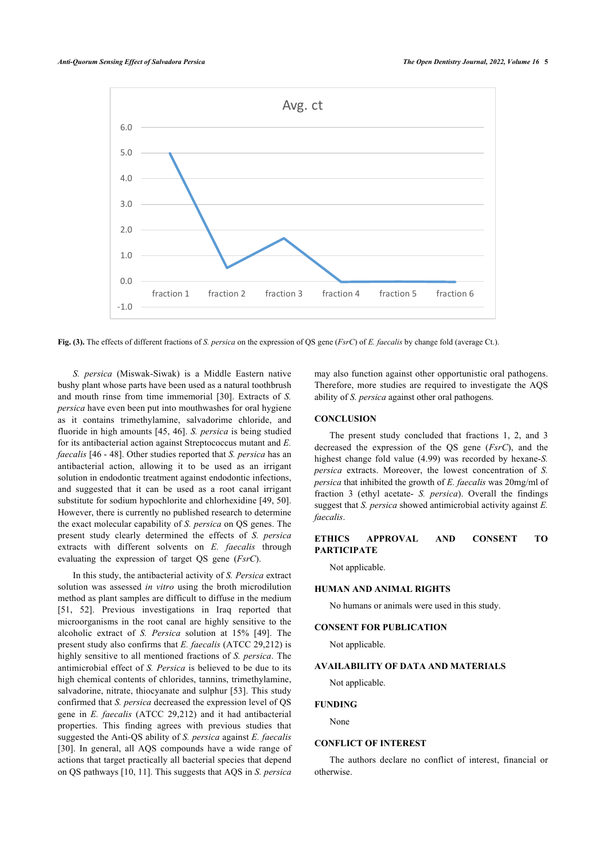<span id="page-4-0"></span>

**Fig. (3).** The effects of different fractions of *S. persica* on the expression of QS gene (*FsrC*) of *E. faecalis* by change fold (average Ct.).

*S. persica* (Miswak-Siwak) is a Middle Eastern native bushy plant whose parts have been used as a natural toothbrush and mouth rinse from time immemorial[[30](#page-5-21)]. Extracts of *S. persica* have even been put into mouthwashes for oral hygiene as it contains trimethylamine, salvadorime chloride, and fluoride in high amounts [\[45,](#page-6-8) [46](#page-6-0)]. *S. persica* is being studied for its antibacterial action against Streptococcus mutant and *E. faecalis* [[46](#page-6-0) - [48\]](#page-6-9). Other studies reported that *S. persica* has an antibacterial action, allowing it to be used as an irrigant solution in endodontic treatment against endodontic infections, and suggested that it can be used as a root canal irrigant substitute for sodium hypochlorite and chlorhexidine [[49,](#page-6-10) [50\]](#page-6-11). However, there is currently no published research to determine the exact molecular capability of *S. persica* on QS genes. The present study clearly determined the effects of *S. persica* extracts with different solvents on *E. faecalis* through evaluating the expression of target QS gene (*FsrC*).

In this study, the antibacterial activity of *S. Persica* extract solution was assessed *in vitro* using the broth microdilution method as plant samples are difficult to diffuse in the medium [[51,](#page-6-12) [52\]](#page-6-13). Previous investigations in Iraq reported that microorganisms in the root canal are highly sensitive to the alcoholic extract of *S. Persica* solution at 15%[[49\]](#page-6-10). The present study also confirms that *E. faecalis* (ATCC 29,212) is highly sensitive to all mentioned fractions of *S. persica*. The antimicrobial effect of *S. Persica* is believed to be due to its high chemical contents of chlorides, tannins, trimethylamine, salvadorine, nitrate, thiocyanate and sulphur [\[53\]](#page-6-7). This study confirmed that *S. persica* decreased the expression level of QS gene in *E. faecalis* (ATCC 29,212) and it had antibacterial properties. This finding agrees with previous studies that suggested the Anti-QS ability of *S. persica* against *E. faecalis* [[30\]](#page-5-21). In general, all AQS compounds have a wide range of actions that target practically all bacterial species that depend on QS pathways [[10,](#page-5-5) [11\]](#page-5-6). This suggests that AQS in *S. persica*

may also function against other opportunistic oral pathogens. Therefore, more studies are required to investigate the AQS ability of *S. persica* against other oral pathogens.

## **CONCLUSION**

The present study concluded that fractions 1, 2, and 3 decreased the expression of the QS gene (*FsrC*), and the highest change fold value (4.99) was recorded by hexane-*S. persica* extracts. Moreover, the lowest concentration of *S. persica* that inhibited the growth of *E. faecalis* was 20mg/ml of fraction 3 (ethyl acetate- *S. persica*). Overall the findings suggest that *S. persica* showed antimicrobial activity against *E. faecalis*.

## **ETHICS APPROVAL AND CONSENT TO PARTICIPATE**

Not applicable.

#### **HUMAN AND ANIMAL RIGHTS**

No humans or animals were used in this study.

# **CONSENT FOR PUBLICATION**

Not applicable.

# **AVAILABILITY OF DATA AND MATERIALS**

Not applicable.

#### **FUNDING**

None

# **CONFLICT OF INTEREST**

The authors declare no conflict of interest, financial or otherwise.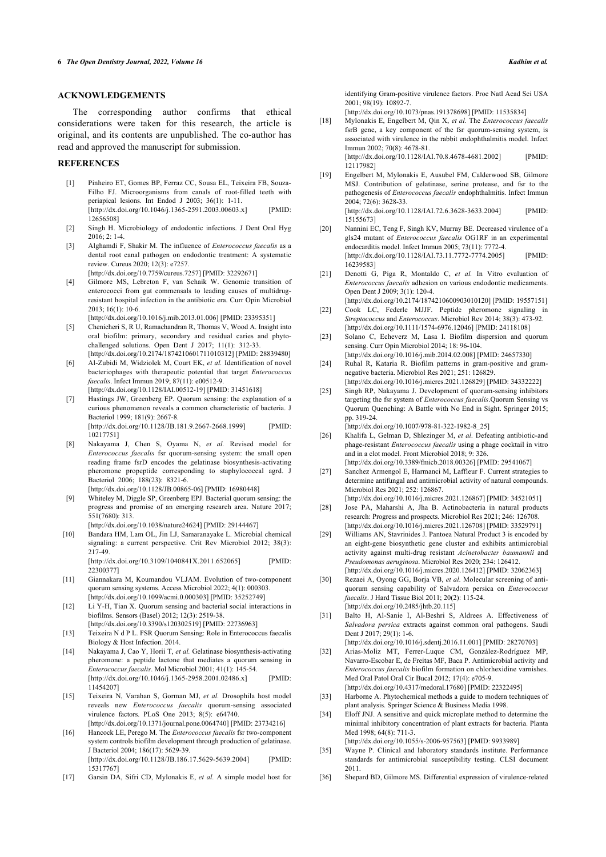# **ACKNOWLEDGEMENTS**

The corresponding author confirms that ethical considerations were taken for this research, the article is original, and its contents are unpublished. The co-author has read and approved the manuscript for submission.

#### <span id="page-5-0"></span>**REFERENCES**

- [1] Pinheiro ET, Gomes BP, Ferraz CC, Sousa EL, Teixeira FB, Souza-Filho FJ. Microorganisms from canals of root-filled teeth with periapical lesions. Int Endod J 2003; 36(1): 1-11. [\[http://dx.doi.org/10.1046/j.1365-2591.2003.00603.x\]](http://dx.doi.org/10.1046/j.1365-2591.2003.00603.x) [PMID: [12656508\]](http://www.ncbi.nlm.nih.gov/pubmed/12656508)
- <span id="page-5-28"></span>[2] Singh H. Microbiology of endodontic infections. J Dent Oral Hyg 2016; 2: 1-4.
- [3] Alghamdi F, Shakir M. The influence of *Enterococcus faecalis* as a dental root canal pathogen on endodontic treatment: A systematic review. Cureus 2020; 12(3): e7257. [\[http://dx.doi.org/10.7759/cureus.7257](http://dx.doi.org/10.7759/cureus.7257)] [PMID: [32292671\]](http://www.ncbi.nlm.nih.gov/pubmed/32292671)
- [4] Gilmore MS, Lebreton F, van Schaik W. Genomic transition of enterococci from gut commensals to leading causes of multidrugresistant hospital infection in the antibiotic era. Curr Opin Microbiol 2013; 16(1): 10-6. [\[http://dx.doi.org/10.1016/j.mib.2013.01.006\]](http://dx.doi.org/10.1016/j.mib.2013.01.006) [PMID: [23395351](http://www.ncbi.nlm.nih.gov/pubmed/23395351)]
- <span id="page-5-14"></span><span id="page-5-13"></span>[5] Chenicheri S, R U, Ramachandran R, Thomas V, Wood A. Insight into oral biofilm: primary, secondary and residual caries and phytochallenged solutions. Open Dent J 2017; 11(1): 312-33. [\[http://dx.doi.org/10.2174/1874210601711010312\]](http://dx.doi.org/10.2174/1874210601711010312) [PMID: [28839480](http://www.ncbi.nlm.nih.gov/pubmed/28839480)]
- <span id="page-5-15"></span><span id="page-5-1"></span>[6] Al-Zubidi M, Widziolek M, Court EK, *et al.* Identification of novel bacteriophages with therapeutic potential that target *Enterococcus faecalis*. Infect Immun 2019; 87(11): e00512-9. [\[http://dx.doi.org/10.1128/IAI.00512-19](http://dx.doi.org/10.1128/IAI.00512-19)] [PMID: [31451618](http://www.ncbi.nlm.nih.gov/pubmed/31451618)]
- <span id="page-5-16"></span><span id="page-5-2"></span>[7] Hastings JW, Greenberg EP. Quorum sensing: the explanation of a curious phenomenon reveals a common characteristic of bacteria. J Bacteriol 1999; 181(9): 2667-8. [\[http://dx.doi.org/10.1128/JB.181.9.2667-2668.1999\]](http://dx.doi.org/10.1128/JB.181.9.2667-2668.1999) [PMID:

[10217751\]](http://www.ncbi.nlm.nih.gov/pubmed/10217751)

- <span id="page-5-17"></span><span id="page-5-3"></span>[8] Nakayama J, Chen S, Oyama N, *et al.* Revised model for *Enterococcus faecalis* fsr quorum-sensing system: the small open reading frame fsrD encodes the gelatinase biosynthesis-activating pheromone propeptide corresponding to staphylococcal agrd. J Bacteriol 2006; 188(23): 8321-6. [\[http://dx.doi.org/10.1128/JB.00865-06](http://dx.doi.org/10.1128/JB.00865-06)] [PMID: [16980448\]](http://www.ncbi.nlm.nih.gov/pubmed/16980448)
- <span id="page-5-19"></span><span id="page-5-18"></span><span id="page-5-4"></span>[9] Whiteley M, Diggle SP, Greenberg EPJ. Bacterial quorum sensing: the progress and promise of an emerging research area. Nature 2017; 551(7680): 313.
- [\[http://dx.doi.org/10.1038/nature24624](http://dx.doi.org/10.1038/nature24624)] [PMID: [29144467\]](http://www.ncbi.nlm.nih.gov/pubmed/29144467)
- <span id="page-5-20"></span><span id="page-5-5"></span>[10] Bandara HM, Lam OL, Jin LJ, Samaranayake L. Microbial chemical signaling: a current perspective. Crit Rev Microbiol 2012; 38(3): 217-49.

[\[http://dx.doi.org/10.3109/1040841X.2011.652065\]](http://dx.doi.org/10.3109/1040841X.2011.652065) [PMID: [22300377\]](http://www.ncbi.nlm.nih.gov/pubmed/22300377)

- <span id="page-5-21"></span><span id="page-5-6"></span>[11] Giannakara M, Koumandou VLJAM. Evolution of two-component quorum sensing systems. Access Microbiol 2022; 4(1): 000303. [\[http://dx.doi.org/10.1099/acmi.0.000303\]](http://dx.doi.org/10.1099/acmi.0.000303) [PMID: [35252749](http://www.ncbi.nlm.nih.gov/pubmed/35252749)]
- <span id="page-5-22"></span><span id="page-5-7"></span>[12] Li Y-H, Tian X. Quorum sensing and bacterial social interactions in biofilms. Sensors (Basel) 2012; 12(3): 2519-38.
- [\[http://dx.doi.org/10.3390/s120302519](http://dx.doi.org/10.3390/s120302519)] [PMID: [22736963](http://www.ncbi.nlm.nih.gov/pubmed/22736963)]
- <span id="page-5-8"></span>[13] Teixeira N d P L. FSR Quorum Sensing: Role in Enterococcus faecalis Biology & Host Infection. 2014.
- <span id="page-5-23"></span><span id="page-5-9"></span>[14] Nakayama J, Cao Y, Horii T, *et al.* Gelatinase biosynthesis-activating pheromone: a peptide lactone that mediates a quorum sensing in *Enterococcus faecalis*. Mol Microbiol 2001; 41(1): 145-54. [\[http://dx.doi.org/10.1046/j.1365-2958.2001.02486.x\]](http://dx.doi.org/10.1046/j.1365-2958.2001.02486.x) [PMID: [11454207\]](http://www.ncbi.nlm.nih.gov/pubmed/11454207)
- <span id="page-5-24"></span><span id="page-5-10"></span>[15] Teixeira N, Varahan S, Gorman MJ, *et al.* Drosophila host model reveals new *Enterococcus faecalis* quorum-sensing associated virulence factors. PLoS One 2013; 8(5): e64740. [\[http://dx.doi.org/10.1371/journal.pone.0064740\]](http://dx.doi.org/10.1371/journal.pone.0064740) [PMID: [23734216](http://www.ncbi.nlm.nih.gov/pubmed/23734216)]
- <span id="page-5-26"></span><span id="page-5-25"></span><span id="page-5-11"></span>[16] Hancock LE, Perego M. The *Enterococcus faecalis* fsr two-component system controls biofilm development through production of gelatinase. J Bacteriol 2004; 186(17): 5629-39. [\[http://dx.doi.org/10.1128/JB.186.17.5629-5639.2004](http://dx.doi.org/10.1128/JB.186.17.5629-5639.2004)] [PMID: [15317767\]](http://www.ncbi.nlm.nih.gov/pubmed/15317767)
- <span id="page-5-27"></span><span id="page-5-12"></span>[17] Garsin DA, Sifri CD, Mylonakis E, *et al.* A simple model host for

identifying Gram-positive virulence factors. Proc Natl Acad Sci USA 2001; 98(19): 10892-7.

[\[http://dx.doi.org/10.1073/pnas.191378698\]](http://dx.doi.org/10.1073/pnas.191378698) [PMID: [11535834](http://www.ncbi.nlm.nih.gov/pubmed/11535834)]

[18] Mylonakis E, Engelbert M, Qin X, *et al.* The *Enterococcus faecalis* fsrB gene, a key component of the fsr quorum-sensing system, is associated with virulence in the rabbit endophthalmitis model. Infect Immun 2002; 70(8): 4678-81. [\[http://dx.doi.org/10.1128/IAI.70.8.4678-4681.2002](http://dx.doi.org/10.1128/IAI.70.8.4678-4681.2002)]

[12117982\]](http://www.ncbi.nlm.nih.gov/pubmed/12117982) [19] Engelbert M, Mylonakis E, Ausubel FM, Calderwood SB, Gilmore MSJ. Contribution of gelatinase, serine protease, and fsr to the pathogenesis of *Enterococcus faecalis* endophthalmitis. Infect Immun 2004; 72(6): 3628-33.

[\[http://dx.doi.org/10.1128/IAI.72.6.3628-3633.2004](http://dx.doi.org/10.1128/IAI.72.6.3628-3633.2004)] [PMID: [15155673\]](http://www.ncbi.nlm.nih.gov/pubmed/15155673)

- [20] Nannini EC, Teng F, Singh KV, Murray BE. Decreased virulence of a gls24 mutant of *Enterococcus faecalis* OG1RF in an experimental endocarditis model. Infect Immun 2005; 73(11): 7772-4. [\[http://dx.doi.org/10.1128/IAI.73.11.7772-7774.2005\]](http://dx.doi.org/10.1128/IAI.73.11.7772-7774.2005) [PMID: [16239583\]](http://www.ncbi.nlm.nih.gov/pubmed/16239583)
- [21] Denotti G, Piga R, Montaldo C, *et al.* In Vitro evaluation of *Enterococcus faecalis* adhesion on various endodontic medicaments. Open Dent J 2009; 3(1): 120-4. [\[http://dx.doi.org/10.2174/1874210600903010120\]](http://dx.doi.org/10.2174/1874210600903010120) [PMID: [19557151\]](http://www.ncbi.nlm.nih.gov/pubmed/19557151)
- [22] Cook LC, Federle MJJF. Peptide pheromone signaling in *Streptococcus* and *Enterococcus*. Microbiol Rev 2014; 38(3): 473-92. [\[http://dx.doi.org/10.1111/1574-6976.12046](http://dx.doi.org/10.1111/1574-6976.12046)] [PMID: [24118108\]](http://www.ncbi.nlm.nih.gov/pubmed/24118108)
- [23] Solano C, Echeverz M, Lasa I. Biofilm dispersion and quorum sensing. Curr Opin Microbiol 2014; 18: 96-104.
- [\[http://dx.doi.org/10.1016/j.mib.2014.02.008\]](http://dx.doi.org/10.1016/j.mib.2014.02.008) [PMID: [24657330](http://www.ncbi.nlm.nih.gov/pubmed/24657330)] [24] Ruhal R, Kataria R. Biofilm patterns in gram-positive and gramnegative bacteria. Microbiol Res 2021; 251: 126829.
- [\[http://dx.doi.org/10.1016/j.micres.2021.126829](http://dx.doi.org/10.1016/j.micres.2021.126829)] [PMID: [34332222\]](http://www.ncbi.nlm.nih.gov/pubmed/34332222)
- [25] Singh RP, Nakayama J. Development of quorum-sensing inhibitors targeting the fsr system of *Enterococcus faecalis*.Quorum Sensing vs Quorum Quenching: A Battle with No End in Sight. Springer 2015; pp. 319-24.

[\[http://dx.doi.org/10.1007/978-81-322-1982-8\\_25\]](http://dx.doi.org/10.1007/978-81-322-1982-8_25)

- [26] Khalifa L, Gelman D, Shlezinger M, *et al.* Defeating antibiotic-and phage-resistant *Enterococcus faecalis* using a phage cocktail in vitro and in a clot model. Front Microbiol 2018; 9: 326. [\[http://dx.doi.org/10.3389/fmicb.2018.00326\]](http://dx.doi.org/10.3389/fmicb.2018.00326) [PMID: [29541067](http://www.ncbi.nlm.nih.gov/pubmed/29541067)]
- [27] Sanchez Armengol E, Harmanci M, Laffleur F. Current strategies to determine antifungal and antimicrobial activity of natural compounds. Microbiol Res 2021; 252: 126867.
- [\[http://dx.doi.org/10.1016/j.micres.2021.126867](http://dx.doi.org/10.1016/j.micres.2021.126867)] [PMID: [34521051\]](http://www.ncbi.nlm.nih.gov/pubmed/34521051) [28] Jose PA, Maharshi A, Jha B. Actinobacteria in natural products research: Progress and prospects. Microbiol Res 2021; 246: 126708. [\[http://dx.doi.org/10.1016/j.micres.2021.126708](http://dx.doi.org/10.1016/j.micres.2021.126708)] [PMID: [33529791\]](http://www.ncbi.nlm.nih.gov/pubmed/33529791)
- [29] Williams AN, Stavrinides J. Pantoea Natural Product 3 is encoded by an eight-gene biosynthetic gene cluster and exhibits antimicrobial activity against multi-drug resistant *Acinetobacter baumannii* and *Pseudomonas aeruginosa*. Microbiol Res 2020; 234: 126412. [\[http://dx.doi.org/10.1016/j.micres.2020.126412](http://dx.doi.org/10.1016/j.micres.2020.126412)] [PMID: [32062363\]](http://www.ncbi.nlm.nih.gov/pubmed/32062363)
- [30] Rezaei A, Oyong GG, Borja VB, *et al.* Molecular screening of antiquorum sensing capability of Salvadora persica on *Enterococcus faecalis*. J Hard Tissue Biol 2011; 20(2): 115-24. [\[http://dx.doi.org/10.2485/jhtb.20.115](http://dx.doi.org/10.2485/jhtb.20.115)]
- [31] Balto H, Al-Sanie I, Al-Beshri S, Aldrees A. Effectiveness of *Salvadora persica* extracts against common oral pathogens. Saudi Dent J 2017; 29(1): 1-6.
- [\[http://dx.doi.org/10.1016/j.sdentj.2016.11.001\]](http://dx.doi.org/10.1016/j.sdentj.2016.11.001) [PMID: [28270703](http://www.ncbi.nlm.nih.gov/pubmed/28270703)] [32] Arias-Moliz MT, Ferrer-Luque CM, González-Rodríguez MP, Navarro-Escobar E, de Freitas MF, Baca P. Antimicrobial activity and *Enterococcus faecalis* biofilm formation on chlorhexidine varnishes. Med Oral Patol Oral Cir Bucal 2012; 17(4): e705-9.
- [\[http://dx.doi.org/10.4317/medoral.17680\]](http://dx.doi.org/10.4317/medoral.17680) [PMID: [22322495](http://www.ncbi.nlm.nih.gov/pubmed/22322495)] [33] Harborne A. Phytochemical methods a guide to modern techniques of plant analysis. Springer Science & Business Media 1998.
- [34] Eloff JNJ. A sensitive and quick microplate method to determine the minimal inhibitory concentration of plant extracts for bacteria. Planta Med 1998; 64(8): 711-3.

[\[http://dx.doi.org/10.1055/s-2006-957563\]](http://dx.doi.org/10.1055/s-2006-957563) [PMID: [9933989\]](http://www.ncbi.nlm.nih.gov/pubmed/9933989)

- [35] Wayne P. Clinical and laboratory standards institute. Performance standards for antimicrobial susceptibility testing. CLSI document 2011.
- [36] Shepard BD, Gilmore MS. Differential expression of virulence-related